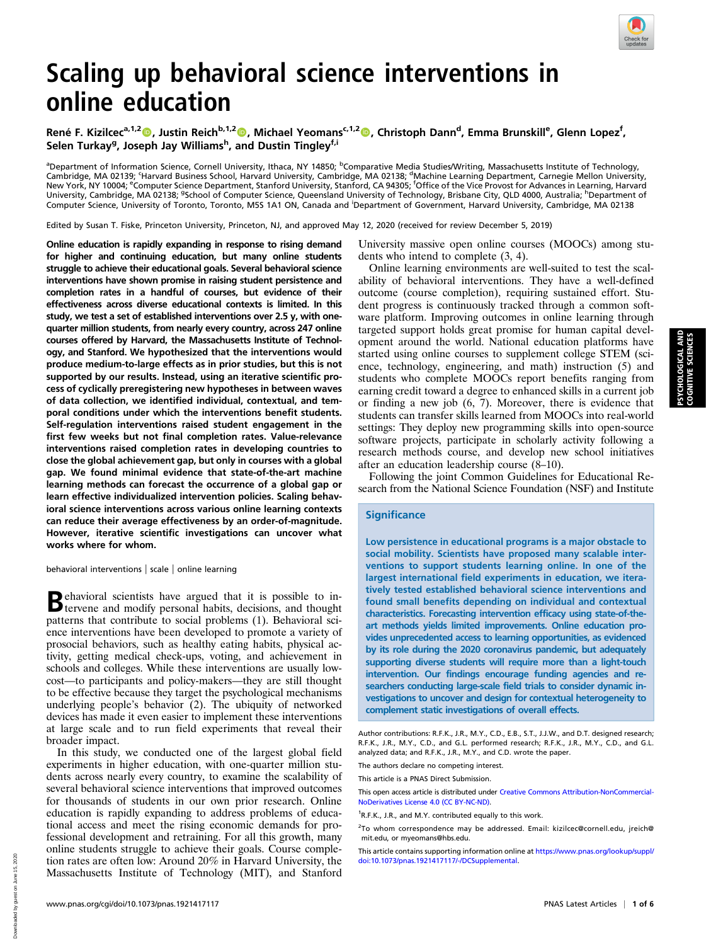

# Scaling up behavioral science interventions in online education

René F. Kizilcec<sup>a,1,2</sup>®, Justin Reich<sup>b,1,2</sup>®, Michael Yeomans<sup>c,1,2</sup>®, Christoph Dann<sup>d</sup>, Emma Brunskill<sup>e</sup>, Glenn Lopez<sup>f</sup>, Selen Turkay<sup>g</sup>, Joseph Jay Williams<sup>h</sup>, and Dustin Tingley<sup>f,i</sup>

<sup>a</sup>Department of Information Science, Cornell University, Ithaca, NY 14850; <sup>b</sup>Comparative Media Studies/Writing, Massachusetts Institute of Technology, Cambridge, MA 02139; 'Harvard Business School, Harvard University, Cambridge, MA 02138; <sup>d</sup>Machine Learning Department, Carnegie Mellon University,<br>New York, NY 10004; <sup>e</sup>Computer Science Department, Stanford University, S University, Cambridge, MA 02138; <sup>g</sup>School of Computer Science, Queensland University of Technology, Brisbane City, QLD 4000, Australia; <sup>h</sup>Department of Computer Science, University of Toronto, Toronto, M5S 1A1 ON, Canada and Department of Government, Harvard University, Cambridge, MA 02138

Edited by Susan T. Fiske, Princeton University, Princeton, NJ, and approved May 12, 2020 (received for review December 5, 2019)

Online education is rapidly expanding in response to rising demand for higher and continuing education, but many online students struggle to achieve their educational goals. Several behavioral science interventions have shown promise in raising student persistence and completion rates in a handful of courses, but evidence of their effectiveness across diverse educational contexts is limited. In this study, we test a set of established interventions over 2.5 y, with onequarter million students, from nearly every country, across 247 online courses offered by Harvard, the Massachusetts Institute of Technology, and Stanford. We hypothesized that the interventions would produce medium-to-large effects as in prior studies, but this is not supported by our results. Instead, using an iterative scientific process of cyclically preregistering new hypotheses in between waves of data collection, we identified individual, contextual, and temporal conditions under which the interventions benefit students. Self-regulation interventions raised student engagement in the first few weeks but not final completion rates. Value-relevance interventions raised completion rates in developing countries to close the global achievement gap, but only in courses with a global gap. We found minimal evidence that state-of-the-art machine learning methods can forecast the occurrence of a global gap or learn effective individualized intervention policies. Scaling behavioral science interventions across various online learning contexts can reduce their average effectiveness by an order-of-magnitude. However, iterative scientific investigations can uncover what works where for whom.

behavioral interventions | scale | online learning

Behavioral scientists have argued that it is possible to in-tervene and modify personal habits, decisions, and thought patterns that contribute to social problems (1). Behavioral science interventions have been developed to promote a variety of prosocial behaviors, such as healthy eating habits, physical activity, getting medical check-ups, voting, and achievement in schools and colleges. While these interventions are usually lowcost—to participants and policy-makers—they are still thought to be effective because they target the psychological mechanisms underlying people's behavior (2). The ubiquity of networked devices has made it even easier to implement these interventions at large scale and to run field experiments that reveal their broader impact.

In this study, we conducted one of the largest global field experiments in higher education, with one-quarter million students across nearly every country, to examine the scalability of several behavioral science interventions that improved outcomes for thousands of students in our own prior research. Online education is rapidly expanding to address problems of educational access and meet the rising economic demands for professional development and retraining. For all this growth, many online students struggle to achieve their goals. Course completion rates are often low: Around 20% in Harvard University, the Massachusetts Institute of Technology (MIT), and Stanford

University massive open online courses (MOOCs) among students who intend to complete (3, 4).

Online learning environments are well-suited to test the scalability of behavioral interventions. They have a well-defined outcome (course completion), requiring sustained effort. Student progress is continuously tracked through a common software platform. Improving outcomes in online learning through targeted support holds great promise for human capital development around the world. National education platforms have started using online courses to supplement college STEM (science, technology, engineering, and math) instruction (5) and students who complete MOOCs report benefits ranging from earning credit toward a degree to enhanced skills in a current job or finding a new job (6, 7). Moreover, there is evidence that students can transfer skills learned from MOOCs into real-world settings: They deploy new programming skills into open-source software projects, participate in scholarly activity following a research methods course, and develop new school initiatives after an education leadership course (8–10).

Following the joint Common Guidelines for Educational Research from the National Science Foundation (NSF) and Institute

## **Significance**

Low persistence in educational programs is a major obstacle to social mobility. Scientists have proposed many scalable interventions to support students learning online. In one of the largest international field experiments in education, we iteratively tested established behavioral science interventions and found small benefits depending on individual and contextual characteristics. Forecasting intervention efficacy using state-of-theart methods yields limited improvements. Online education provides unprecedented access to learning opportunities, as evidenced by its role during the 2020 coronavirus pandemic, but adequately supporting diverse students will require more than a light-touch intervention. Our findings encourage funding agencies and researchers conducting large-scale field trials to consider dynamic investigations to uncover and design for contextual heterogeneity to complement static investigations of overall effects.

The authors declare no competing interest.

This article is a PNAS Direct Submission.

This open access article is distributed under [Creative Commons Attribution-NonCommercial-](https://creativecommons.org/licenses/by-nc-nd/4.0/)[NoDerivatives License 4.0 \(CC BY-NC-ND\).](https://creativecommons.org/licenses/by-nc-nd/4.0/)

This article contains supporting information online at [https://www.pnas.org/lookup/suppl/](https://www.pnas.org/lookup/suppl/doi:10.1073/pnas.1921417117/-/DCSupplemental) [doi:10.1073/pnas.1921417117/-/DCSupplemental.](https://www.pnas.org/lookup/suppl/doi:10.1073/pnas.1921417117/-/DCSupplemental)

Author contributions: R.F.K., J.R., M.Y., C.D., E.B., S.T., J.J.W., and D.T. designed research; R.F.K., J.R., M.Y., C.D., and G.L. performed research; R.F.K., J.R., M.Y., C.D., and G.L. analyzed data; and R.F.K., J.R., M.Y., and C.D. wrote the paper.

<sup>&</sup>lt;sup>1</sup>R.F.K., J.R., and M.Y. contributed equally to this work.

<sup>&</sup>lt;sup>2</sup>To whom correspondence may be addressed. Email: [kizilcec@cornell.edu,](mailto:kizilcec@cornell.edu) [jreich@](mailto:jreich@mit.edu) [mit.edu,](mailto:jreich@mit.edu) or [myeomans@hbs.edu](mailto:myeomans@hbs.edu).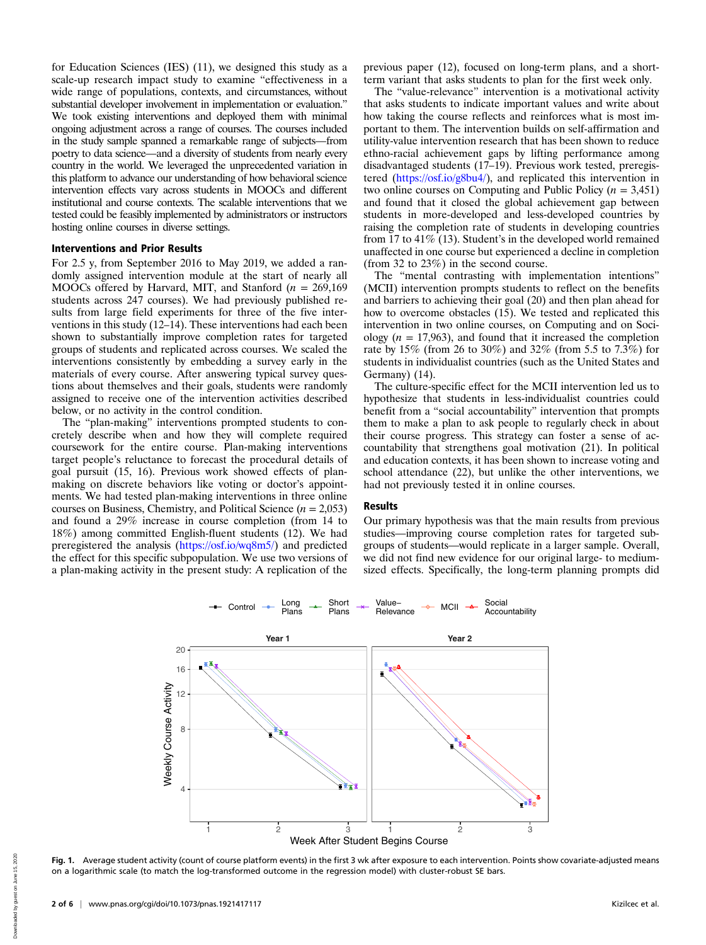for Education Sciences (IES) (11), we designed this study as a scale-up research impact study to examine "effectiveness in a wide range of populations, contexts, and circumstances, without substantial developer involvement in implementation or evaluation." We took existing interventions and deployed them with minimal ongoing adjustment across a range of courses. The courses included in the study sample spanned a remarkable range of subjects—from poetry to data science—and a diversity of students from nearly every country in the world. We leveraged the unprecedented variation in this platform to advance our understanding of how behavioral science intervention effects vary across students in MOOCs and different institutional and course contexts. The scalable interventions that we tested could be feasibly implemented by administrators or instructors hosting online courses in diverse settings.

## Interventions and Prior Results

For 2.5 y, from September 2016 to May 2019, we added a randomly assigned intervention module at the start of nearly all MOOCs offered by Harvard, MIT, and Stanford ( $n = 269,169$ ) students across 247 courses). We had previously published results from large field experiments for three of the five interventions in this study (12–14). These interventions had each been shown to substantially improve completion rates for targeted groups of students and replicated across courses. We scaled the interventions consistently by embedding a survey early in the materials of every course. After answering typical survey questions about themselves and their goals, students were randomly assigned to receive one of the intervention activities described below, or no activity in the control condition.

The "plan-making" interventions prompted students to concretely describe when and how they will complete required coursework for the entire course. Plan-making interventions target people's reluctance to forecast the procedural details of goal pursuit (15, 16). Previous work showed effects of planmaking on discrete behaviors like voting or doctor's appointments. We had tested plan-making interventions in three online courses on Business, Chemistry, and Political Science ( $n = 2,053$ ) and found a 29% increase in course completion (from 14 to 18%) among committed English-fluent students (12). We had preregistered the analysis (<https://osf.io/wq8m5/>) and predicted the effect for this specific subpopulation. We use two versions of a plan-making activity in the present study: A replication of the

previous paper (12), focused on long-term plans, and a shortterm variant that asks students to plan for the first week only.

The "value-relevance" intervention is a motivational activity that asks students to indicate important values and write about how taking the course reflects and reinforces what is most important to them. The intervention builds on self-affirmation and utility-value intervention research that has been shown to reduce ethno-racial achievement gaps by lifting performance among disadvantaged students (17–19). Previous work tested, preregistered [\(https://osf.io/g8bu4/\)](https://osf.io/g8bu4/), and replicated this intervention in two online courses on Computing and Public Policy ( $n = 3,451$ ) and found that it closed the global achievement gap between students in more-developed and less-developed countries by raising the completion rate of students in developing countries from 17 to 41% (13). Student's in the developed world remained unaffected in one course but experienced a decline in completion (from 32 to 23%) in the second course.

The "mental contrasting with implementation intentions" (MCII) intervention prompts students to reflect on the benefits and barriers to achieving their goal (20) and then plan ahead for how to overcome obstacles (15). We tested and replicated this intervention in two online courses, on Computing and on Sociology ( $n = 17,963$ ), and found that it increased the completion rate by 15% (from 26 to 30%) and 32% (from 5.5 to 7.3%) for students in individualist countries (such as the United States and Germany) (14).

The culture-specific effect for the MCII intervention led us to hypothesize that students in less-individualist countries could benefit from a "social accountability" intervention that prompts them to make a plan to ask people to regularly check in about their course progress. This strategy can foster a sense of accountability that strengthens goal motivation (21). In political and education contexts, it has been shown to increase voting and school attendance (22), but unlike the other interventions, we had not previously tested it in online courses.

#### Results

Our primary hypothesis was that the main results from previous studies—improving course completion rates for targeted subgroups of students—would replicate in a larger sample. Overall, we did not find new evidence for our original large- to mediumsized effects. Specifically, the long-term planning prompts did



Fig. 1. Average student activity (count of course platform events) in the first 3 wk after exposure to each intervention. Points show covariate-adjusted means on a logarithmic scale (to match the log-transformed outcome in the regression model) with cluster-robust SE bars.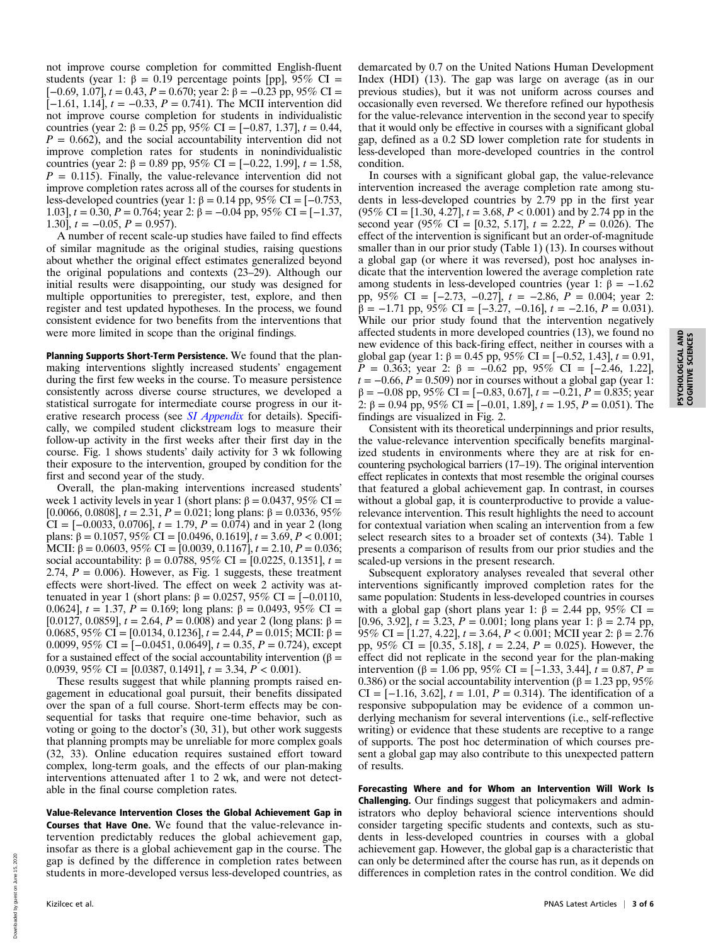not improve course completion for committed English-fluent students (year 1:  $\beta = 0.19$  percentage points [pp], 95% CI =  $[-0.69, 1.07]$ ,  $t = 0.43$ ,  $P = 0.670$ ; year 2:  $\hat{\beta} = -0.23$  pp, 95% CI = [ $-1.61$ , 1.14],  $t = -0.33$ ,  $P = 0.741$ ). The MCII intervention did not improve course completion for students in individualistic countries (year 2: β = 0.25 pp, 95% CI = [-0.87, 1.37],  $t = 0.44$ ,  $P = 0.662$ ), and the social accountability intervention did not improve completion rates for students in nonindividualistic countries (year 2: β = 0.89 pp, 95% CI = [-0.22, 1.99],  $t = 1.58$ ,  $P = 0.115$ . Finally, the value-relevance intervention did not improve completion rates across all of the courses for students in less-developed countries (year 1: β = 0.14 pp, 95% CI = [-0.753, 1.03],  $t = 0.30$ ,  $P = 0.764$ ; year 2: β = -0.04 pp, 95% CI = [-1.37, 1.30],  $t = -0.05$ ,  $P = 0.957$ .

A number of recent scale-up studies have failed to find effects of similar magnitude as the original studies, raising questions about whether the original effect estimates generalized beyond the original populations and contexts (23–29). Although our initial results were disappointing, our study was designed for multiple opportunities to preregister, test, explore, and then register and test updated hypotheses. In the process, we found consistent evidence for two benefits from the interventions that were more limited in scope than the original findings.

Planning Supports Short-Term Persistence. We found that the planmaking interventions slightly increased students' engagement during the first few weeks in the course. To measure persistence consistently across diverse course structures, we developed a statistical surrogate for intermediate course progress in our iterative research process (see *[SI Appendix](https://www.pnas.org/lookup/suppl/doi:10.1073/pnas.1921417117/-/DCSupplemental)* for details). Specifically, we compiled student clickstream logs to measure their follow-up activity in the first weeks after their first day in the course. Fig. 1 shows students' daily activity for 3 wk following their exposure to the intervention, grouped by condition for the first and second year of the study.

Overall, the plan-making interventions increased students' week 1 activity levels in year 1 (short plans:  $\beta = 0.0437$ , 95% CI =  $[0.0066, 0.0808]$ ,  $t = 2.31$ ,  $P = 0.021$ ; long plans: β = 0.0336, 95% CI =  $[-0.0033, 0.0706]$ ,  $t = 1.79$ ,  $P = 0.074$ ) and in year 2 (long plans: β = 0.1057, 95% CI = [0.0496, 0.1619],  $t = 3.69, P < 0.001$ ; MCII:  $\beta = 0.0603, 95\%$  CI = [0.0039, 0.1167],  $t = 2.10, P = 0.036;$ social accountability:  $β = 0.0788$ , 95% CI = [0.0225, 0.1351],  $t =$ 2.74,  $P = 0.006$ ). However, as Fig. 1 suggests, these treatment effects were short-lived. The effect on week 2 activity was attenuated in year 1 (short plans:  $β = 0.0257, 95%$  CI = [-0.0110, 0.0624],  $t = 1.37$ ,  $P = 0.169$ ; long plans: β = 0.0493, 95% CI = [0.0127, 0.0859],  $t = 2.64$ ,  $P = 0.008$ ) and year 2 (long plans:  $\beta =$ 0.0685, 95% CI = [0.0134, 0.1236],  $t = 2.44$ ,  $P = 0.015$ ; MCII: β = 0.0099, 95% CI =  $[-0.0451, 0.0649]$ ,  $t = 0.35$ ,  $P = 0.724$ ), except for a sustained effect of the social accountability intervention (β = 0.0939, 95% CI = [0.0387, 0.1491],  $t = 3.34$ ,  $P < 0.001$ ).

These results suggest that while planning prompts raised engagement in educational goal pursuit, their benefits dissipated over the span of a full course. Short-term effects may be consequential for tasks that require one-time behavior, such as voting or going to the doctor's (30, 31), but other work suggests that planning prompts may be unreliable for more complex goals (32, 33). Online education requires sustained effort toward complex, long-term goals, and the effects of our plan-making interventions attenuated after 1 to 2 wk, and were not detectable in the final course completion rates.

Value-Relevance Intervention Closes the Global Achievement Gap in Courses that Have One. We found that the value-relevance intervention predictably reduces the global achievement gap, insofar as there is a global achievement gap in the course. The gap is defined by the difference in completion rates between students in more-developed versus less-developed countries, as

demarcated by 0.7 on the United Nations Human Development Index (HDI) (13). The gap was large on average (as in our previous studies), but it was not uniform across courses and occasionally even reversed. We therefore refined our hypothesis for the value-relevance intervention in the second year to specify that it would only be effective in courses with a significant global gap, defined as a 0.2 SD lower completion rate for students in less-developed than more-developed countries in the control condition.

In courses with a significant global gap, the value-relevance intervention increased the average completion rate among students in less-developed countries by 2.79 pp in the first year  $(95\% \text{ CI} = [1.30, 4.27], t = 3.68, P < 0.001)$  and by 2.74 pp in the second year (95% CI = [0.32, 5.17],  $t = 2.22$ ,  $P = 0.026$ ). The effect of the intervention is significant but an order-of-magnitude smaller than in our prior study (Table 1) (13). In courses without a global gap (or where it was reversed), post hoc analyses indicate that the intervention lowered the average completion rate among students in less-developed countries (year 1: β =  $-1.62$ ) pp,  $95\%$  CI = [-2.73, -0.27],  $t = -2.86$ ,  $\overrightarrow{P} = 0.004$ ; year 2:  $\hat{\beta} = -1.71$  pp,  $95\%$  CI = [-3.27, -0.16],  $t = -2.16$ ,  $P = 0.031$ ). While our prior study found that the intervention negatively affected students in more developed countries (13), we found no new evidence of this back-firing effect, neither in courses with a global gap (year 1: β = 0.45 pp, 95% CI = [-0.52, 1.43],  $t = 0.91$ ,  $P = 0.363$ ; year 2: β = -0.62 pp, 95% CI = [-2.46, 1.22],  $t = -0.66$ ,  $P = 0.509$ ) nor in courses without a global gap (year 1:  $\beta = -0.08$  pp, 95% CI = [-0.83, 0.67],  $t = -0.21$ ,  $P = 0.835$ ; year 2:  $\beta = 0.94$  pp, 95% CI = [-0.01, 1.89],  $t = 1.95$ ,  $P = 0.051$ ). The findings are visualized in Fig. 2.

Consistent with its theoretical underpinnings and prior results, the value-relevance intervention specifically benefits marginalized students in environments where they are at risk for encountering psychological barriers (17–19). The original intervention effect replicates in contexts that most resemble the original courses that featured a global achievement gap. In contrast, in courses without a global gap, it is counterproductive to provide a valuerelevance intervention. This result highlights the need to account for contextual variation when scaling an intervention from a few select research sites to a broader set of contexts (34). Table 1 presents a comparison of results from our prior studies and the scaled-up versions in the present research.

Subsequent exploratory analyses revealed that several other interventions significantly improved completion rates for the same population: Students in less-developed countries in courses with a global gap (short plans year 1:  $\hat{\beta} = 2.44$  pp, 95% CI = [0.96, 3.92],  $t = 3.23$ ,  $P = 0.001$ ; long plans year 1:  $\beta = 2.74$  pp, 95% CI = [1.27, 4.22],  $t = 3.64$ ,  $P < 0.001$ ; MCII year 2: β = 2.76 pp, 95% CI = [0.35, 5.18],  $t = 2.24$ ,  $P = 0.025$ ). However, the effect did not replicate in the second year for the plan-making intervention (β = 1.06 pp, 95% CI = [-1.33, 3.44],  $t = 0.87$ ,  $P =$ 0.386) or the social accountability intervention ( $\beta$  = 1.23 pp, 95% CI =  $[-1.16, 3.62]$ ,  $t = 1.01$ ,  $P = 0.314$ ). The identification of a responsive subpopulation may be evidence of a common underlying mechanism for several interventions (i.e., self-reflective writing) or evidence that these students are receptive to a range of supports. The post hoc determination of which courses present a global gap may also contribute to this unexpected pattern of results.

Forecasting Where and for Whom an Intervention Will Work Is Challenging. Our findings suggest that policymakers and administrators who deploy behavioral science interventions should consider targeting specific students and contexts, such as students in less-developed countries in courses with a global achievement gap. However, the global gap is a characteristic that can only be determined after the course has run, as it depends on differences in completion rates in the control condition. We did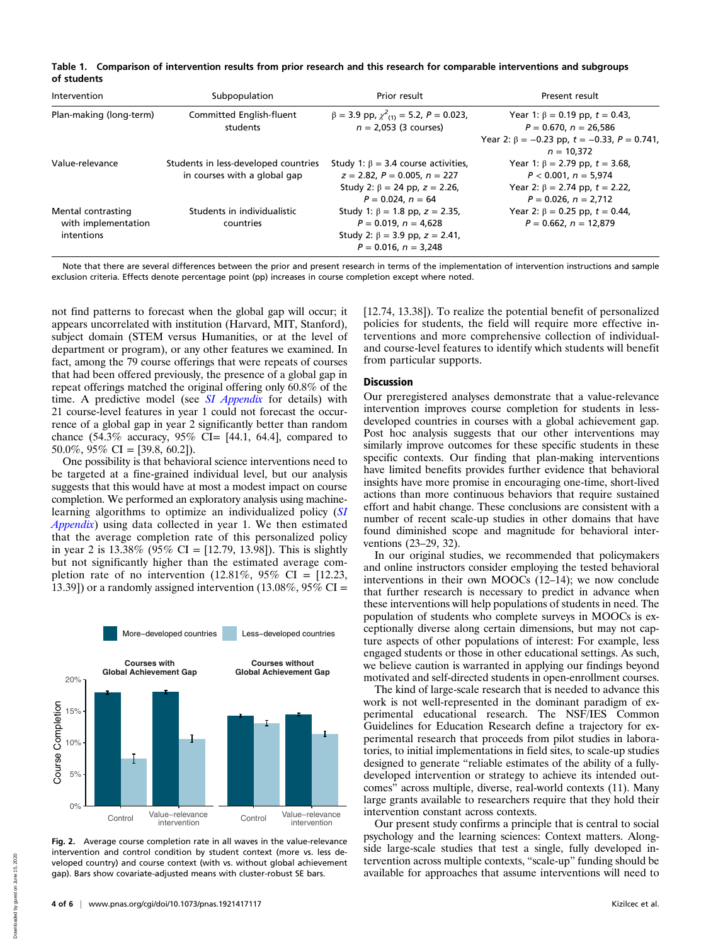|             | Table 1. Comparison of intervention results from prior research and this research for comparable interventions and subgroups |  |  |  |
|-------------|------------------------------------------------------------------------------------------------------------------------------|--|--|--|
| of students |                                                                                                                              |  |  |  |

| Intervention                                            | Subpopulation                                                        | Prior result                                                                                                                              | Present result                                                          |
|---------------------------------------------------------|----------------------------------------------------------------------|-------------------------------------------------------------------------------------------------------------------------------------------|-------------------------------------------------------------------------|
| Plan-making (long-term)                                 | Committed English-fluent<br>students                                 | $\beta = 3.9$ pp, $\chi^2$ <sub>(1)</sub> = 5.2, P = 0.023,<br>$n = 2.053$ (3 courses)                                                    | Year 1: $\beta = 0.19$ pp, $t = 0.43$ ,<br>$P = 0.670, n = 26.586$      |
|                                                         |                                                                      |                                                                                                                                           | Year 2: $\beta = -0.23$ pp, $t = -0.33$ , $P = 0.741$ ,<br>$n = 10.372$ |
| Value-relevance                                         | Students in less-developed countries<br>in courses with a global gap | Study 1: $\beta = 3.4$ course activities,<br>$z = 2.82$ , $P = 0.005$ , $n = 227$                                                         | Year 1: $\beta$ = 2.79 pp, $t$ = 3.68,<br>$P < 0.001$ , $n = 5.974$     |
|                                                         |                                                                      | Study 2: $\beta = 24$ pp, $z = 2.26$ ,<br>$P = 0.024$ , $n = 64$                                                                          | Year 2: $\beta$ = 2.74 pp, $t$ = 2.22,<br>$P = 0.026$ , $n = 2.712$     |
| Mental contrasting<br>with implementation<br>intentions | Students in individualistic<br>countries                             | Study 1: $\beta$ = 1.8 pp, z = 2.35,<br>$P = 0.019$ , $n = 4.628$<br>Study 2: $\beta = 3.9$ pp, $z = 2.41$ ,<br>$P = 0.016$ , $n = 3.248$ | Year 2: $\beta = 0.25$ pp, $t = 0.44$ ,<br>$P = 0.662, n = 12.879$      |

Note that there are several differences between the prior and present research in terms of the implementation of intervention instructions and sample exclusion criteria. Effects denote percentage point (pp) increases in course completion except where noted.

not find patterns to forecast when the global gap will occur; it appears uncorrelated with institution (Harvard, MIT, Stanford), subject domain (STEM versus Humanities, or at the level of department or program), or any other features we examined. In fact, among the 79 course offerings that were repeats of courses that had been offered previously, the presence of a global gap in repeat offerings matched the original offering only 60.8% of the time. A predictive model (see *[SI Appendix](https://www.pnas.org/lookup/suppl/doi:10.1073/pnas.1921417117/-/DCSupplemental)* for details) with 21 course-level features in year 1 could not forecast the occurrence of a global gap in year 2 significantly better than random chance  $(54.3\%$  accuracy,  $95\%$  CI= [44.1, 64.4], compared to 50.0%,  $95\%$  CI = [39.8, 60.2]).

One possibility is that behavioral science interventions need to be targeted at a fine-grained individual level, but our analysis suggests that this would have at most a modest impact on course completion. We performed an exploratory analysis using machine-learning algorithms to optimize an individualized policy ([SI](https://www.pnas.org/lookup/suppl/doi:10.1073/pnas.1921417117/-/DCSupplemental) [Appendix](https://www.pnas.org/lookup/suppl/doi:10.1073/pnas.1921417117/-/DCSupplemental)) using data collected in year 1. We then estimated that the average completion rate of this personalized policy in year 2 is  $13.38\%$  (95% CI = [12.79, 13.98]). This is slightly but not significantly higher than the estimated average completion rate of no intervention  $(12.81\%, 95\% \text{ CI} = [12.23,$ 13.39]) or a randomly assigned intervention (13.08%,  $95\%$  CI =



Fig. 2. Average course completion rate in all waves in the value-relevance intervention and control condition by student context (more vs. less developed country) and course context (with vs. without global achievement gap). Bars show covariate-adjusted means with cluster-robust SE bars.

[12.74, 13.38]). To realize the potential benefit of personalized policies for students, the field will require more effective interventions and more comprehensive collection of individualand course-level features to identify which students will benefit from particular supports.

# Discussion

Our preregistered analyses demonstrate that a value-relevance intervention improves course completion for students in lessdeveloped countries in courses with a global achievement gap. Post hoc analysis suggests that our other interventions may similarly improve outcomes for these specific students in these specific contexts. Our finding that plan-making interventions have limited benefits provides further evidence that behavioral insights have more promise in encouraging one-time, short-lived actions than more continuous behaviors that require sustained effort and habit change. These conclusions are consistent with a number of recent scale-up studies in other domains that have found diminished scope and magnitude for behavioral interventions (23–29, 32).

In our original studies, we recommended that policymakers and online instructors consider employing the tested behavioral interventions in their own MOOCs (12–14); we now conclude that further research is necessary to predict in advance when these interventions will help populations of students in need. The population of students who complete surveys in MOOCs is exceptionally diverse along certain dimensions, but may not capture aspects of other populations of interest: For example, less engaged students or those in other educational settings. As such, we believe caution is warranted in applying our findings beyond motivated and self-directed students in open-enrollment courses.

The kind of large-scale research that is needed to advance this work is not well-represented in the dominant paradigm of experimental educational research. The NSF/IES Common Guidelines for Education Research define a trajectory for experimental research that proceeds from pilot studies in laboratories, to initial implementations in field sites, to scale-up studies designed to generate "reliable estimates of the ability of a fullydeveloped intervention or strategy to achieve its intended outcomes" across multiple, diverse, real-world contexts (11). Many large grants available to researchers require that they hold their intervention constant across contexts.

Our present study confirms a principle that is central to social psychology and the learning sciences: Context matters. Alongside large-scale studies that test a single, fully developed intervention across multiple contexts, "scale-up" funding should be available for approaches that assume interventions will need to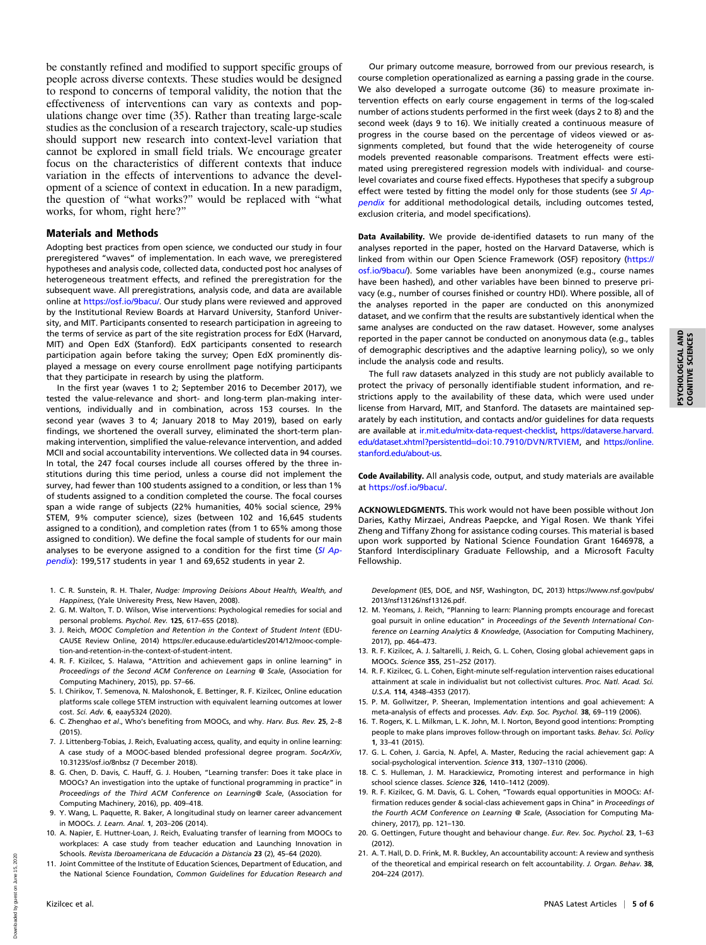be constantly refined and modified to support specific groups of people across diverse contexts. These studies would be designed to respond to concerns of temporal validity, the notion that the effectiveness of interventions can vary as contexts and populations change over time (35). Rather than treating large-scale studies as the conclusion of a research trajectory, scale-up studies should support new research into context-level variation that cannot be explored in small field trials. We encourage greater focus on the characteristics of different contexts that induce variation in the effects of interventions to advance the development of a science of context in education. In a new paradigm, the question of "what works?" would be replaced with "what works, for whom, right here?"

## Materials and Methods

Adopting best practices from open science, we conducted our study in four preregistered "waves" of implementation. In each wave, we preregistered hypotheses and analysis code, collected data, conducted post hoc analyses of heterogeneous treatment effects, and refined the preregistration for the subsequent wave. All preregistrations, analysis code, and data are available online at <https://osf.io/9bacu/>. Our study plans were reviewed and approved by the Institutional Review Boards at Harvard University, Stanford University, and MIT. Participants consented to research participation in agreeing to the terms of service as part of the site registration process for EdX (Harvard, MIT) and Open EdX (Stanford). EdX participants consented to research participation again before taking the survey; Open EdX prominently displayed a message on every course enrollment page notifying participants that they participate in research by using the platform.

In the first year (waves 1 to 2; September 2016 to December 2017), we tested the value-relevance and short- and long-term plan-making interventions, individually and in combination, across 153 courses. In the second year (waves 3 to 4; January 2018 to May 2019), based on early findings, we shortened the overall survey, eliminated the short-term planmaking intervention, simplified the value-relevance intervention, and added MCII and social accountability interventions. We collected data in 94 courses. In total, the 247 focal courses include all courses offered by the three institutions during this time period, unless a course did not implement the survey, had fewer than 100 students assigned to a condition, or less than 1% of students assigned to a condition completed the course. The focal courses span a wide range of subjects (22% humanities, 40% social science, 29% STEM, 9% computer science), sizes (between 102 and 16,645 students assigned to a condition), and completion rates (from 1 to 65% among those assigned to condition). We define the focal sample of students for our main analyses to be everyone assigned to a condition for the first time  $(SI$  Ap[pendix](https://www.pnas.org/lookup/suppl/doi:10.1073/pnas.1921417117/-/DCSupplemental)): 199,517 students in year 1 and 69,652 students in year 2.

- 1. C. R. Sunstein, R. H. Thaler, Nudge: Improving Deisions About Health, Wealth, and Happiness, (Yale Univeresity Press, New Haven, 2008).
- 2. G. M. Walton, T. D. Wilson, Wise interventions: Psychological remedies for social and personal problems. Psychol. Rev. 125, 617–655 (2018).
- 3. J. Reich, MOOC Completion and Retention in the Context of Student Intent (EDU-CAUSE Review Online, 2014) [https://er.educause.edu/articles/2014/12/mooc-comple](https://er.educause.edu/articles/2014/12/mooc-completion-and-retention-in-the-context-of-student-intent)[tion-and-retention-in-the-context-of-student-intent.](https://er.educause.edu/articles/2014/12/mooc-completion-and-retention-in-the-context-of-student-intent)
- 4. R. F. Kizilcec, S. Halawa, "Attrition and achievement gaps in online learning" in Proceedings of the Second ACM Conference on Learning @ Scale, (Association for Computing Machinery, 2015), pp. 57–66.
- 5. I. Chirikov, T. Semenova, N. Maloshonok, E. Bettinger, R. F. Kizilcec, Online education platforms scale college STEM instruction with equivalent learning outcomes at lower cost. Sci. Adv. 6, eaay5324 (2020).
- 6. C. Zhenghao et al., Who's benefiting from MOOCs, and why. Harv. Bus. Rev. 25, 2–8  $(2015)$
- 7. J. Littenberg-Tobias, J. Reich, Evaluating access, quality, and equity in online learning: A case study of a MOOC-based blended professional degree program. SocArXiv, 10.31235/osf.io/8nbsz (7 December 2018).
- 8. G. Chen, D. Davis, C. Hauff, G. J. Houben, "Learning transfer: Does it take place in MOOCs? An investigation into the uptake of functional programming in practice" in Proceedings of the Third ACM Conference on Learning@ Scale, (Association for Computing Machinery, 2016), pp. 409–418.
- 9. Y. Wang, L. Paquette, R. Baker, A longitudinal study on learner career advancement in MOOCs. J. Learn. Anal. 1, 203–206 (2014).
- 10. A. Napier, E. Huttner-Loan, J. Reich, Evaluating transfer of learning from MOOCs to workplaces: A case study from teacher education and Launching Innovation in Schools. Revista Iberoamericana de Educación a Distancia 23 (2), 45–64 (2020).
- 11. Joint Committee of the Institute of Education Sciences, Department of Education, and the National Science Foundation, Common Guidelines for Education Research and

Our primary outcome measure, borrowed from our previous research, is course completion operationalized as earning a passing grade in the course. We also developed a surrogate outcome (36) to measure proximate intervention effects on early course engagement in terms of the log-scaled number of actions students performed in the first week (days 2 to 8) and the second week (days 9 to 16). We initially created a continuous measure of progress in the course based on the percentage of videos viewed or assignments completed, but found that the wide heterogeneity of course models prevented reasonable comparisons. Treatment effects were estimated using preregistered regression models with individual- and courselevel covariates and course fixed effects. Hypotheses that specify a subgroup effect were tested by fitting the model only for those students (see [SI Ap](https://www.pnas.org/lookup/suppl/doi:10.1073/pnas.1921417117/-/DCSupplemental)[pendix](https://www.pnas.org/lookup/suppl/doi:10.1073/pnas.1921417117/-/DCSupplemental) for additional methodological details, including outcomes tested, exclusion criteria, and model specifications).

Data Availability. We provide de-identified datasets to run many of the analyses reported in the paper, hosted on the Harvard Dataverse, which is linked from within our Open Science Framework (OSF) repository ([https://](https://osf.io/9bacu/) [osf.io/9bacu/](https://osf.io/9bacu/)). Some variables have been anonymized (e.g., course names have been hashed), and other variables have been binned to preserve privacy (e.g., number of courses finished or country HDI). Where possible, all of the analyses reported in the paper are conducted on this anonymized dataset, and we confirm that the results are substantively identical when the same analyses are conducted on the raw dataset. However, some analyses reported in the paper cannot be conducted on anonymous data (e.g., tables of demographic descriptives and the adaptive learning policy), so we only include the analysis code and results.

The full raw datasets analyzed in this study are not publicly available to protect the privacy of personally identifiable student information, and restrictions apply to the availability of these data, which were used under license from Harvard, MIT, and Stanford. The datasets are maintained separately by each institution, and contacts and/or guidelines for data requests are available at [ir.mit.edu/mitx-data-request-checklist](http://ir.mit.edu/mitx-data-request-checklist), [https://dataverse.harvard.](https://dataverse.harvard.edu/dataset.xhtml?persistentId=doi:10.7910/DVN/RTVIEM) [edu/dataset.xhtml?persistentId](https://dataverse.harvard.edu/dataset.xhtml?persistentId=doi:10.7910/DVN/RTVIEM)=doi:10.7910/DVN/RTVIEM, and [https://online.](https://online.stanford.edu/about-us) [stanford.edu/about-us](https://online.stanford.edu/about-us).

Code Availability. All analysis code, output, and study materials are available at [https://osf.io/9bacu/.](https://osf.io/9bacu/)

ACKNOWLEDGMENTS. This work would not have been possible without Jon Daries, Kathy Mirzaei, Andreas Paepcke, and Yigal Rosen. We thank Yifei Zheng and Tiffany Zhong for assistance coding courses. This material is based upon work supported by National Science Foundation Grant 1646978, a Stanford Interdisciplinary Graduate Fellowship, and a Microsoft Faculty Fellowship.

Development (IES, DOE, and NSF, Washington, DC, 2013) [https://www.nsf.gov/pubs/](https://www.nsf.gov/pubs/2013/nsf13126/nsf13126.pdf) [2013/nsf13126/nsf13126.pdf.](https://www.nsf.gov/pubs/2013/nsf13126/nsf13126.pdf)

- 12. M. Yeomans, J. Reich, "Planning to learn: Planning prompts encourage and forecast goal pursuit in online education" in Proceedings of the Seventh International Conference on Learning Analytics & Knowledge, (Association for Computing Machinery, 2017), pp. 464–473.
- 13. R. F. Kizilcec, A. J. Saltarelli, J. Reich, G. L. Cohen, Closing global achievement gaps in MOOCs. Science 355, 251–252 (2017).
- 14. R. F. Kizilcec, G. L. Cohen, Eight-minute self-regulation intervention raises educational attainment at scale in individualist but not collectivist cultures. Proc. Natl. Acad. Sci. U.S.A. 114, 4348–4353 (2017).
- 15. P. M. Gollwitzer, P. Sheeran, Implementation intentions and goal achievement: A meta-analysis of effects and processes. Adv. Exp. Soc. Psychol. 38, 69-119 (2006).
- 16. T. Rogers, K. L. Milkman, L. K. John, M. I. Norton, Beyond good intentions: Prompting people to make plans improves follow-through on important tasks. Behav. Sci. Policy 1, 33–41 (2015).
- 17. G. L. Cohen, J. Garcia, N. Apfel, A. Master, Reducing the racial achievement gap: A social-psychological intervention. Science 313, 1307-1310 (2006).
- 18. C. S. Hulleman, J. M. Harackiewicz, Promoting interest and performance in high school science classes. Science 326, 1410–1412 (2009).
- 19. R. F. Kizilcec, G. M. Davis, G. L. Cohen, "Towards equal opportunities in MOOCs: Affirmation reduces gender & social-class achievement gaps in China" in Proceedings of the Fourth ACM Conference on Learning @ Scale, (Association for Computing Machinery, 2017), pp. 121–130.
- 20. G. Oettingen, Future thought and behaviour change. Eur. Rev. Soc. Psychol. 23, 1–63 (2012).
- 21. A. T. Hall, D. D. Frink, M. R. Buckley, An accountability account: A review and synthesis of the theoretical and empirical research on felt accountability. J. Organ. Behav. 38, 204–224 (2017).

Downloaded by guest on June 15, 2020

Downloaded by guest on June 15,

2020